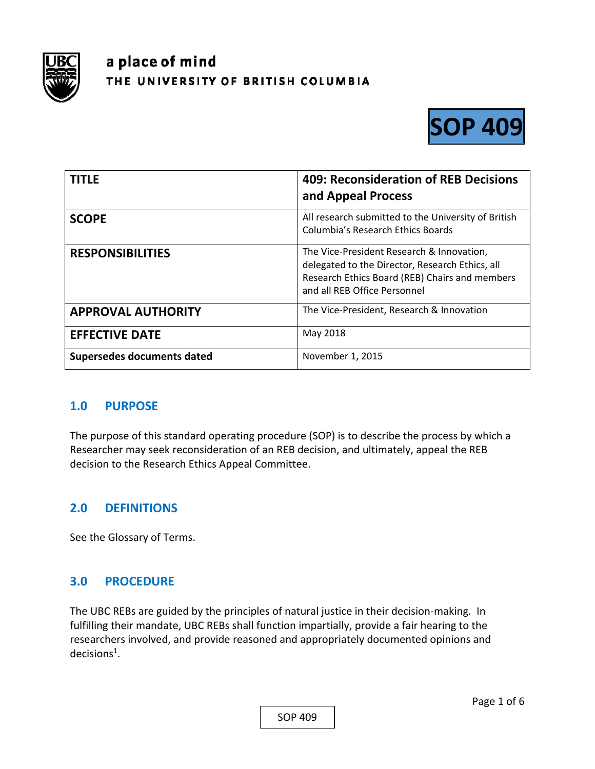

# a place of mind THE UNIVERSITY OF BRITISH COLUMBIA



| <b>TITLE</b>               | 409: Reconsideration of REB Decisions<br>and Appeal Process                                                                                                                    |
|----------------------------|--------------------------------------------------------------------------------------------------------------------------------------------------------------------------------|
| <b>SCOPE</b>               | All research submitted to the University of British<br><b>Columbia's Research Ethics Boards</b>                                                                                |
| <b>RESPONSIBILITIES</b>    | The Vice-President Research & Innovation,<br>delegated to the Director, Research Ethics, all<br>Research Ethics Board (REB) Chairs and members<br>and all REB Office Personnel |
| <b>APPROVAL AUTHORITY</b>  | The Vice-President, Research & Innovation                                                                                                                                      |
| <b>EFFECTIVE DATE</b>      | May 2018                                                                                                                                                                       |
| Supersedes documents dated | November 1, 2015                                                                                                                                                               |

## **1.0 PURPOSE**

The purpose of this standard operating procedure (SOP) is to describe the process by which a Researcher may seek reconsideration of an REB decision, and ultimately, appeal the REB decision to the Research Ethics Appeal Committee.

# **2.0 DEFINITIONS**

See the Glossary of Terms.

## **3.0 PROCEDURE**

The UBC REBs are guided by the principles of natural justice in their decision-making. In fulfilling their mandate, UBC REBs shall function impartially, provide a fair hearing to the researchers involved, and provide reasoned and appropriately documented opinions and  $decisions<sup>1</sup>$ .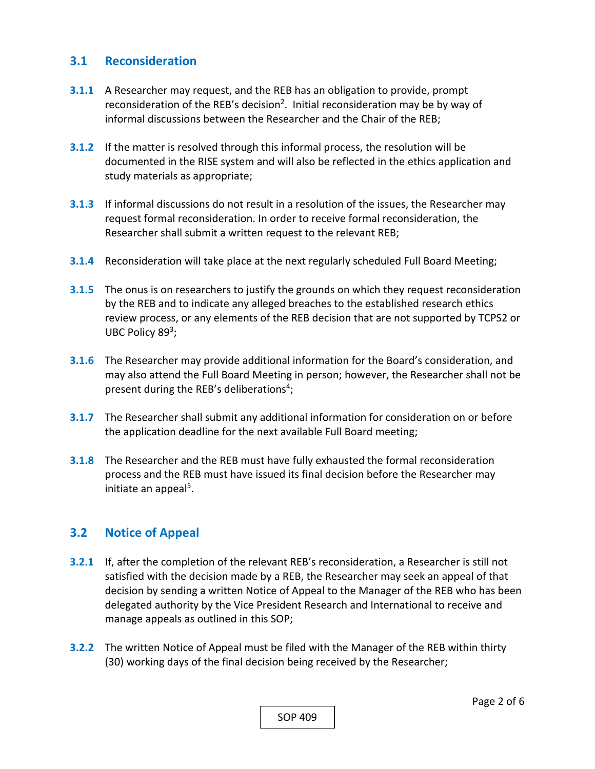#### **3.1 Reconsideration**

- **3.1.1** A Researcher may request, and the REB has an obligation to provide, prompt reconsideration of the REB's decision<sup>2</sup>. Initial reconsideration may be by way of informal discussions between the Researcher and the Chair of the REB;
- **3.1.2** If the matter is resolved through this informal process, the resolution will be documented in the RISE system and will also be reflected in the ethics application and study materials as appropriate;
- **3.1.3** If informal discussions do not result in a resolution of the issues, the Researcher may request formal reconsideration. In order to receive formal reconsideration, the Researcher shall submit a written request to the relevant REB;
- **3.1.4**  Reconsideration will take place at the next regularly scheduled Full Board Meeting;
- **3.1.5**  The onus is on researchers to justify the grounds on which they request reconsideration by the REB and to indicate any alleged breaches to the established research ethics review process, or any elements of the REB decision that are not supported by TCPS2 or UBC Policy 89<sup>3</sup>;
- **3.1.6**  The Researcher may provide additional information for the Board's consideration, and may also attend the Full Board Meeting in person; however, the Researcher shall not be present during the REB's deliberations<sup>4</sup>;
- **3.1.7**  The Researcher shall submit any additional information for consideration on or before the application deadline for the next available Full Board meeting;
- **3.1.8**  The Researcher and the REB must have fully exhausted the formal reconsideration process and the REB must have issued its final decision before the Researcher may initiate an appeal<sup>5</sup>.

## **3.2 Notice of Appeal**

- **3.2.1** If, after the completion of the relevant REB's reconsideration, a Researcher is still not satisfied with the decision made by a REB, the Researcher may seek an appeal of that decision by sending a written Notice of Appeal to the Manager of the REB who has been delegated authority by the Vice President Research and International to receive and manage appeals as outlined in this SOP;
- **3.2.2**  The written Notice of Appeal must be filed with the Manager of the REB within thirty (30) working days of the final decision being received by the Researcher;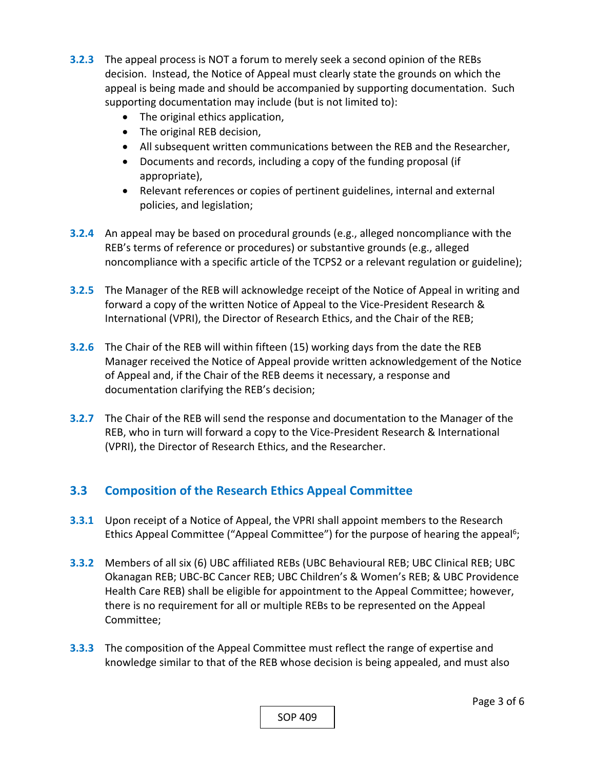- **3.2.3**  The appeal process is NOT a forum to merely seek a second opinion of the REBs decision. Instead, the Notice of Appeal must clearly state the grounds on which the appeal is being made and should be accompanied by supporting documentation. Such supporting documentation may include (but is not limited to):
	- The original ethics application,
	- The original REB decision,
	- All subsequent written communications between the REB and the Researcher,
	- Documents and records, including a copy of the funding proposal (if appropriate),
	- Relevant references or copies of pertinent guidelines, internal and external policies, and legislation;
- **3.2.4**  An appeal may be based on procedural grounds (e.g., alleged noncompliance with the REB's terms of reference or procedures) or substantive grounds (e.g., alleged noncompliance with a specific article of the TCPS2 or a relevant regulation or guideline);
- **3.2.5**  The Manager of the REB will acknowledge receipt of the Notice of Appeal in writing and forward a copy of the written Notice of Appeal to the Vice‐President Research & International (VPRI), the Director of Research Ethics, and the Chair of the REB;
- **3.2.6**  The Chair of the REB will within fifteen (15) working days from the date the REB Manager received the Notice of Appeal provide written acknowledgement of the Notice of Appeal and, if the Chair of the REB deems it necessary, a response and documentation clarifying the REB's decision;
- **3.2.7**  The Chair of the REB will send the response and documentation to the Manager of the REB, who in turn will forward a copy to the Vice‐President Research & International (VPRI), the Director of Research Ethics, and the Researcher.

# **3.3 Composition of the Research Ethics Appeal Committee**

- **3.3.1** Upon receipt of a Notice of Appeal, the VPRI shall appoint members to the Research Ethics Appeal Committee ("Appeal Committee") for the purpose of hearing the appeal<sup>6</sup>;
- **3.3.2**  Members of all six (6) UBC affiliated REBs (UBC Behavioural REB; UBC Clinical REB; UBC Okanagan REB; UBC‐BC Cancer REB; UBC Children's & Women's REB; & UBC Providence Health Care REB) shall be eligible for appointment to the Appeal Committee; however, there is no requirement for all or multiple REBs to be represented on the Appeal Committee;
- **3.3.3**  The composition of the Appeal Committee must reflect the range of expertise and knowledge similar to that of the REB whose decision is being appealed, and must also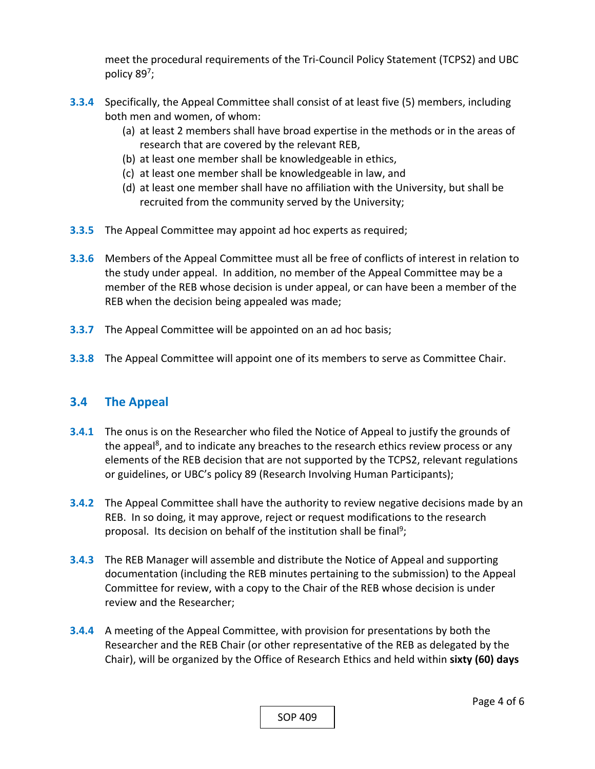meet the procedural requirements of the Tri‐Council Policy Statement (TCPS2) and UBC policy 897;

- **3.3.4**  Specifically, the Appeal Committee shall consist of at least five (5) members, including both men and women, of whom:
	- (a) at least 2 members shall have broad expertise in the methods or in the areas of research that are covered by the relevant REB,
	- (b) at least one member shall be knowledgeable in ethics,
	- (c) at least one member shall be knowledgeable in law, and
	- (d) at least one member shall have no affiliation with the University, but shall be recruited from the community served by the University;
- **3.3.5**  The Appeal Committee may appoint ad hoc experts as required;
- **3.3.6**  Members of the Appeal Committee must all be free of conflicts of interest in relation to the study under appeal. In addition, no member of the Appeal Committee may be a member of the REB whose decision is under appeal, or can have been a member of the REB when the decision being appealed was made;
- **3.3.7** The Appeal Committee will be appointed on an ad hoc basis;
- **3.3.8**  The Appeal Committee will appoint one of its members to serve as Committee Chair.

#### **3.4 The Appeal**

- **3.4.1** The onus is on the Researcher who filed the Notice of Appeal to justify the grounds of the appeal<sup>8</sup>, and to indicate any breaches to the research ethics review process or any elements of the REB decision that are not supported by the TCPS2, relevant regulations or guidelines, or UBC's policy 89 (Research Involving Human Participants);
- **3.4.2**  The Appeal Committee shall have the authority to review negative decisions made by an REB. In so doing, it may approve, reject or request modifications to the research proposal. Its decision on behalf of the institution shall be final<sup>9</sup>;
- **3.4.3**  The REB Manager will assemble and distribute the Notice of Appeal and supporting documentation (including the REB minutes pertaining to the submission) to the Appeal Committee for review, with a copy to the Chair of the REB whose decision is under review and the Researcher;
- **3.4.4**  A meeting of the Appeal Committee, with provision for presentations by both the Researcher and the REB Chair (or other representative of the REB as delegated by the Chair), will be organized by the Office of Research Ethics and held within **sixty (60) days**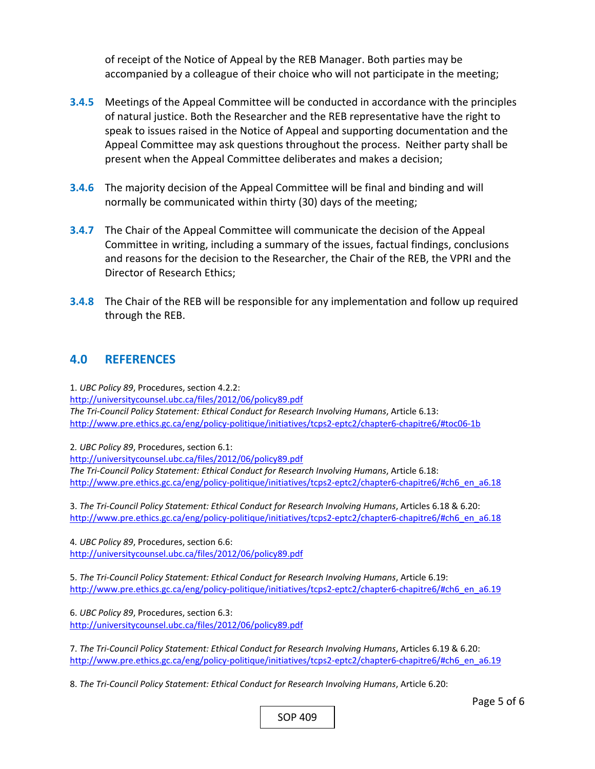of receipt of the Notice of Appeal by the REB Manager. Both parties may be accompanied by a colleague of their choice who will not participate in the meeting;

- **3.4.5**  Meetings of the Appeal Committee will be conducted in accordance with the principles of natural justice. Both the Researcher and the REB representative have the right to speak to issues raised in the Notice of Appeal and supporting documentation and the Appeal Committee may ask questions throughout the process. Neither party shall be present when the Appeal Committee deliberates and makes a decision;
- **3.4.6**  The majority decision of the Appeal Committee will be final and binding and will normally be communicated within thirty (30) days of the meeting;
- **3.4.7**  The Chair of the Appeal Committee will communicate the decision of the Appeal Committee in writing, including a summary of the issues, factual findings, conclusions and reasons for the decision to the Researcher, the Chair of the REB, the VPRI and the Director of Research Ethics;
- **3.4.8**  The Chair of the REB will be responsible for any implementation and follow up required through the REB.

## **4.0 REFERENCES**

1. *UBC Policy 89*, Procedures, section 4.2.2:

http://universitycounsel.ubc.ca/files/2012/06/policy89.pdf *The Tri‐Council Policy Statement: Ethical Conduct for Research Involving Humans*, Article 6.13: http://www.pre.ethics.gc.ca/eng/policy‐politique/initiatives/tcps2‐eptc2/chapter6‐chapitre6/#toc06‐1b

2*. UBC Policy 89*, Procedures, section 6.1:

http://universitycounsel.ubc.ca/files/2012/06/policy89.pdf *The Tri‐Council Policy Statement: Ethical Conduct for Research Involving Humans*, Article 6.18: http://www.pre.ethics.gc.ca/eng/policy-politique/initiatives/tcps2-eptc2/chapter6-chapitre6/#ch6\_en\_a6.18

3. *The Tri‐Council Policy Statement: Ethical Conduct for Research Involving Humans*, Articles 6.18 & 6.20: http://www.pre.ethics.gc.ca/eng/policy-politique/initiatives/tcps2-eptc2/chapter6-chapitre6/#ch6\_en\_a6.18

4*. UBC Policy 89*, Procedures, section 6.6: http://universitycounsel.ubc.ca/files/2012/06/policy89.pdf

5. *The Tri‐Council Policy Statement: Ethical Conduct for Research Involving Humans*, Article 6.19: http://www.pre.ethics.gc.ca/eng/policy-politique/initiatives/tcps2-eptc2/chapter6-chapitre6/#ch6\_en\_a6.19

6. *UBC Policy 89*, Procedures, section 6.3: http://universitycounsel.ubc.ca/files/2012/06/policy89.pdf

7. *The Tri‐Council Policy Statement: Ethical Conduct for Research Involving Humans*, Articles 6.19 & 6.20: http://www.pre.ethics.gc.ca/eng/policy-politique/initiatives/tcps2-eptc2/chapter6-chapitre6/#ch6\_en\_a6.19

8. *The Tri‐Council Policy Statement: Ethical Conduct for Research Involving Humans*, Article 6.20:

SOP 409